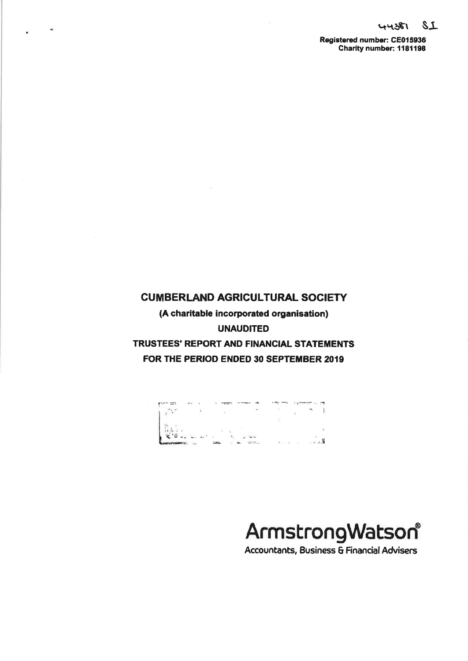**Registered number: CE015936 Charity number: 1181198** 

# **CUMBERLAND AGRICULTURAL SOCIETY (A charitable incorporated organisation) UNAUDITED TRUSTEES' REPORT AND FINANCIAL STATEMENTS FOR THE PERIOD ENDED 30 SEPTEMBER 2019**

 $\mathcal{A}$ 



# ArmstrongWatson®

**Accountants, Business & Financial Advisers**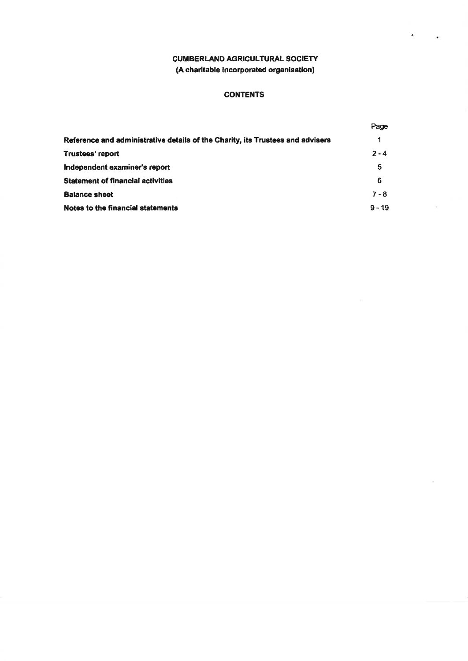$\bullet$ 

 $\left\langle \psi \right\rangle$ 

# **CONTENTS**

|                                                                                | Page     |
|--------------------------------------------------------------------------------|----------|
| Reference and administrative details of the Charity, its Trustees and advisers | 1        |
| Trustees' report                                                               | $2 - 4$  |
| Independent examiner's report                                                  | 5        |
| <b>Statement of financial activities</b>                                       | 6        |
| <b>Balance sheet</b>                                                           | $7 - 8$  |
| Notes to the financial statements                                              | $9 - 19$ |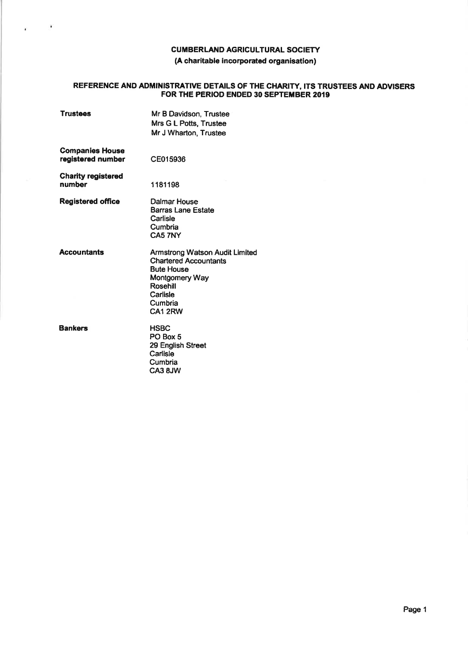# **REFERENCE AND ADMINISTRATIVE DETAILS OF THE CHARITY, ITS TRUSTEES AND ADVISERS FOR THE PERIOD ENDED 30 SEPTEMBER 2019**

| <b>Trustees</b>                             | Mr B Davidson, Trustee<br>Mrs G L Potts, Trustee<br>Mr J Wharton, Trustee                                                                                  |
|---------------------------------------------|------------------------------------------------------------------------------------------------------------------------------------------------------------|
| <b>Companies House</b><br>registered number | CE015936                                                                                                                                                   |
| <b>Charity registered</b><br>number         | 1181198                                                                                                                                                    |
| <b>Registered office</b>                    | Dalmar House<br><b>Barras Lane Estate</b><br>Carlisle<br>Cumbria<br>CA5 7NY                                                                                |
| <b>Accountants</b>                          | Armstrong Watson Audit Limited<br><b>Chartered Accountants</b><br><b>Bute House</b><br>Montgomery Way<br>Rosehill<br>Carlisle<br>Cumbria<br><b>CA1 2RW</b> |
| <b>Bankers</b>                              | <b>HSBC</b><br>PO Box 5<br>29 English Street<br>Carlisle<br>Cumbria<br>CA3 8JW                                                                             |

 $\sim$  100  $\pm$ 

¥.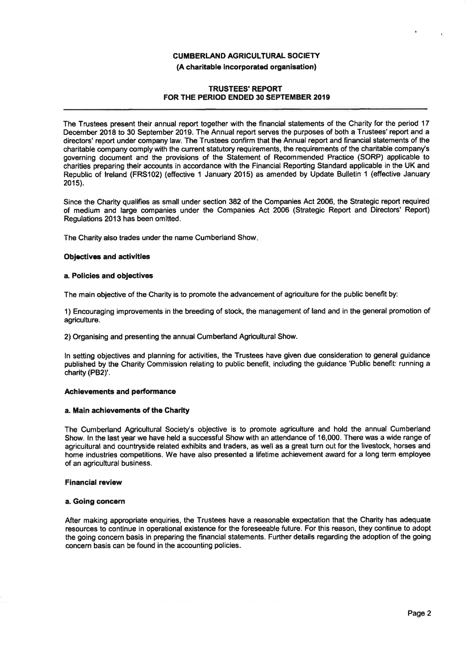#### **(A charitable incorporated organisation)**

#### **TRUSTEES' REPORT FOR THE PERIOD ENDED 30 SEPTEMBER 2019**

**The Trustees present their annual report together with the financial statements of the Charity for the period 17 December 2018 to 30 September 2019. The Annual report serves the purposes of both a Trustees' report and a directors' report under company law. The Trustees confirm that the Annual report and financial statements of the charitable company comply with the current statutory requirements, the requirements of the charitable company's governing document and the provisions of the Statement of Recommended Practice (SORP) applicable to charities preparing their accounts in accordance with the Financial Reporting Standard applicable in the UK and Republic of Ireland (FRS102) (effective 1 January 2015) as amended by Update Bulletin 1 (effective January 2015).** 

**Since the Charity qualifies as small under section 382 of the Companies Act 2006, the Strategic report required of medium and large companies under the Companies Act 2006 (Strategic Report and Directors' Report) Regulations 2013 has been omitted.** 

**The Charity also trades under the name Cumberland Show.** 

#### **Objectives and activities**

#### **a. Policies and objectives**

**The main objective of the Charity is to promote the advancement of agriculture for the public benefit by:** 

**1) Encouraging improvements in the breeding of stock, the management of land and in the general promotion of agriculture.** 

**2) Organising and presenting the annual Cumberland Agricultural Show.** 

**In setting objectives and planning for activities, the Trustees have given due consideration to general guidance published by the Charity Commission relating to public benefit, including the guidance 'Public benefit; running a**  charity (PB2)'.

#### **Achievements and performance**

#### **a. Main achievements of the Charity**

**The Cumberland Agricultural Society's objective is to promote agriculture and hold the annual Cumberland Show. In the last year we have held a successful Show with an attendance of 16,000. There was a wide range of agricultural and countryside related exhibits and traders, as well as a great turn out for the livestock, horses and home industries competitions. We have also presented a lifetime achievement award for a long term employee of an agricultural business.** 

#### **Financial review**

#### **a. Going concern**

**After making appropriate enquiries, the Trustees have a reasonable expectation that the Charity has adequate resources to continue in operational existence for the foreseeable future. For this reason, they continue to adopt the going concern basis in preparing the financial statements. Further details regarding the adoption of the going concern basis can be found in the accounting policies.**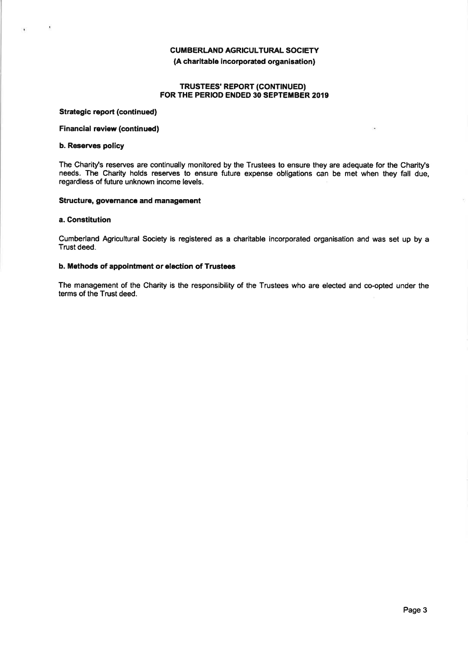#### **TRUSTEES' REPORT (CONTINUED) FOR THE PERIOD ENDED 30 SEPTEMBER 2019**

#### **Strategic report (continued)**

#### **Financial review (continued)**

#### **b. Reserves policy**

 $\cdot$ 

 $\mathbf{R}$ 

The Charity's reserves are continually monitored by the Trustees to ensure they are adequate for the Charity's **needs. The Charity holds reserves to ensure future expense obligations can be met when they fall due, regardless of future unknown income levels.** 

#### **Structure, governance and management**

#### **a. Constitution**

**Cumberland Agricultural Society is registered as a charitable incorporated organisation and was set up by <sup>a</sup> Trust deed.** 

#### **b. Methods of appointment or election of Trustees**

The management of the Charity is the responsibility of the Trustees who are elected and co-opted under the **terms of the Trust deed.**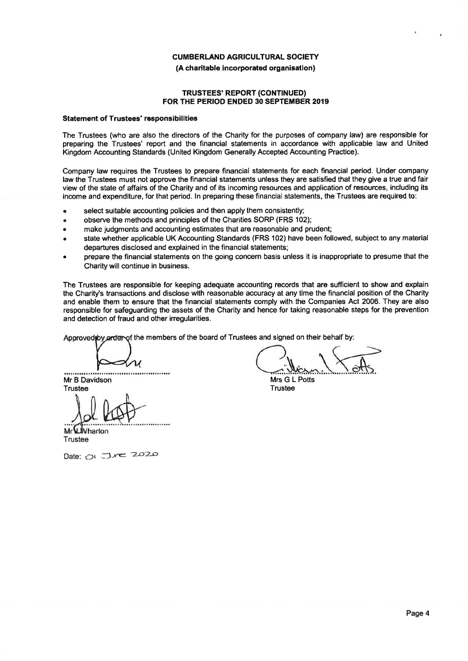#### **(A charitable incorporated organisation)**

#### **TRUSTEES' REPORT (CONTINUED) FOR THE PERIOD ENDED 30 SEPTEMBER 2019**

#### **Statement of Trustees' responsibilities**

**The Trustees (who are also the directors of the Charity for the purposes of company law) are responsible for preparing the Trustees' report and the financial statements in accordance with applicable law and United Kingdom Accounting Standards (United Kingdom Generally Accepted Accounting Practice).** 

**Company law requires the Trustees to prepare financial statements for each financial period. Under company law the Trustees must not approve the financial statements unless they are satisfied that they give a true and fair view of the state of affairs of the Charity and of its incoming resources and application of resources, including its income and expenditure, for that period. In preparing these financial statements, the Trustees are required to;** 

- **select suitable accounting policies and then apply them consistently;**
- **observe the methods and principles of the Charities SORP (FRS 102);**
- **make judgments and accounting estimates that are reasonable and prudent;**
- **state whether applicable UK Accounting Standards (FRS 102) have been followed, subject to any material departures disclosed and explained in the financial statements;**
- **prepare the financial statements on the going concern basis unless it is inappropriate to presume that the Charity will continue in business.**

**The Trustees are responsible for keeping adequate accounting records that are sufficient to show and explain the Charity's transactions and disclose with reasonable accuracy at any time the financial position of the Charity and enable them to ensure that the financial statements comply with the Companies Act 2006. They are also responsible for safeguarding the assets of the Charity and hence for taking reasonable steps for the prevention and detection of fraud and other irregularities.** 

Approved by **arden of the members of the board of Trustees and signed on their behalf by:** 

**Mr B Davidson Trustee** 

 $\frac{1}{2}$ l host

**Mr** Wharton **Trustee** 

**Date;** oi **"Zxrao** 

**Mrs G L Potts Trustee**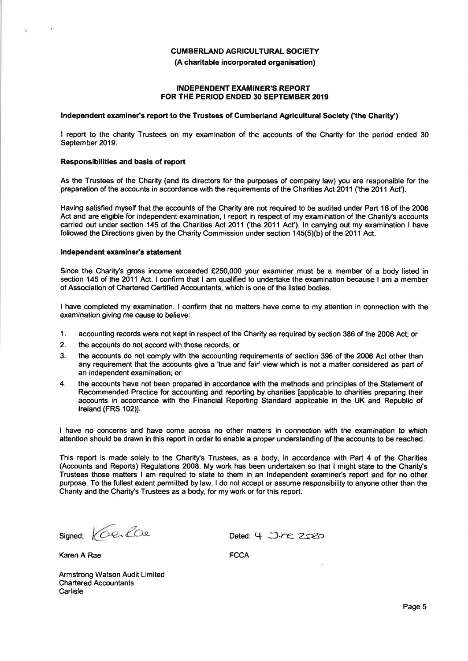#### **INDEPENDENT EXAMINER'S REPORT FOR THE PERIOD ENDED 30 SEPTEMBER 2019**

#### **Independent examiner's report to the Trustees of Cumberland Agricultural Society ('the Charity')**

**I report to the charity Trustees on my examination of the accounts of the Charity for the period ended 30 September 2019.** 

#### **Responsibilities and basis of report**

**As the Trustees of the Charity (and its directors for the purposes of company law) you are responsible for the preparation of the accounts in accordance with the requirements of the Charities Act 2011 ('the 2011 Act').** 

**Having satisfied myself that the accounts of the Charity are not required to be audited under Part 16 of the 2006 Act and are eligible for independent examination, I report in respect of my examination of the Charity's accounts carried out under section 145 of the Charities Act 2011 ('the 2011 Act'). In carrying out my examination I have followed the Directions given by the Charity Commission under section 145(5)(b) of the 2011 Act.** 

#### **Independent examiner's statement**

**Since the Charity's gross income exceeded £250,000 your examiner must be a member of a body listed in section 145 of the 2011 Act. I confirm that I am qualified to undertake the examination because I am a member of Association of Chartered Certified Accountants, which is one of the listed bodies.** 

**I have completed my examination. I confirm that no matters have come to my attention in connection with the examination giving me cause to believe:** 

- $\mathbf{1}$ . **accounting records were not kept in respect of the Charity as required by section 386 of the 2006 Act; or**
- $2.$ **the accounts do not accord with those records; or**
- $3<sub>l</sub>$ **the accounts do not comply with the accounting requirements of section 396 of the 2006 Act other than any requirement that the accounts give a 'true and fair' view which is not a matter considered as part of an independent examination; or**
- $\overline{4}$ . **the accounts have not been prepared in accordance with the methods and principles of the Statement of Recommended Practice for accounting and reporting by charities [applicable to charities preparing their accounts in accordance with the Financial Reporting Standard applicable in the UK and Republic of Ireland (FRS 102)].**

**I have no concerns and have come across no other matters In connection with the examination to which attention should be drawn in this report in order to enable a proper understanding of the accounts to be reached.** 

**This report is made solely to the Charity's Trustees, as a body, in accordance with Part 4 of the Charities (Accounts and Reports) Regulations 2008. My work has been undertaken so that I might state to the Charity's Trustees those matters I am required to state to them in an Independent examiner's report and for no other purpose. To the fullest extent permitted by law,** I **do not accept or assume responsibility to anyone other than the**  Charity and the Charity's Trustees as a body, for my work or for this report.

Signed: Coenfide Dated: 4 June 2020

2

Karen A Rae **FCCA** 

**Armstrong Watson Audit Limited Chartered Accountants Carlisle**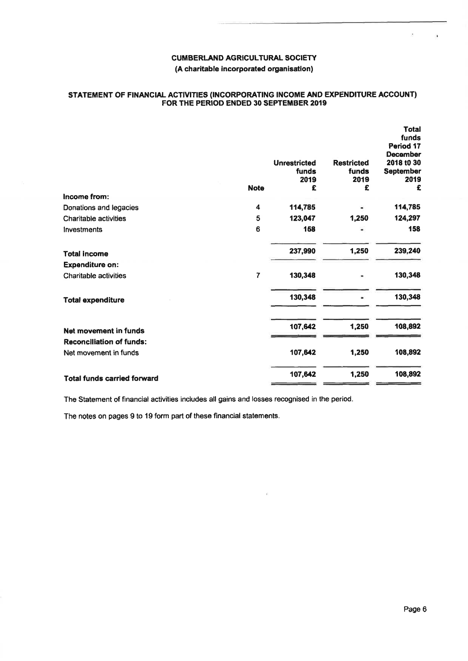#### **STATEMENT OF FINANCIAL ACTIVITIES (INCORPORATING INCOME AND EXPENDITURE ACCOUNT) FOR THE PERIOD ENDED 30 SEPTEMBER 2019**

|                                    |                | <b>Unrestricted</b><br>funds | <b>Restricted</b><br>funds | <b>Total</b><br>funds<br>Period 17<br><b>December</b><br>2018 t0 30 |
|------------------------------------|----------------|------------------------------|----------------------------|---------------------------------------------------------------------|
|                                    |                | 2019                         | 2019                       | September<br>2019                                                   |
|                                    | <b>Note</b>    | £                            | £                          | £                                                                   |
| Income from:                       |                |                              |                            |                                                                     |
| Donations and legacies             | 4              | 114,785                      |                            | 114,785                                                             |
| <b>Charitable activities</b>       | 5              | 123,047                      | 1,250                      | 124,297                                                             |
| Investments                        | 6              | 168                          |                            | 158                                                                 |
| <b>Total income</b>                |                | 237,990                      | 1,250                      | 239,240                                                             |
| <b>Expenditure on:</b>             |                |                              |                            |                                                                     |
| <b>Charitable activities</b>       | $\overline{7}$ | 130,348                      |                            | 130,348                                                             |
| <b>Total expenditure</b>           |                | 130,348                      |                            | 130,348                                                             |
| Net movement in funds              |                | 107,642                      | 1,250                      | 108,892                                                             |
| <b>Reconciliation of funds:</b>    |                |                              |                            |                                                                     |
| Net movement in funds              |                | 107,642                      | 1,250                      | 108,892                                                             |
| <b>Total funds carried forward</b> |                | 107,642                      | 1,250                      | 108,892                                                             |

**The Statement of financial activities includes all gains and losses recognised in the period.** 

**The notes on pages 9 to 19 form part of these financial statements.**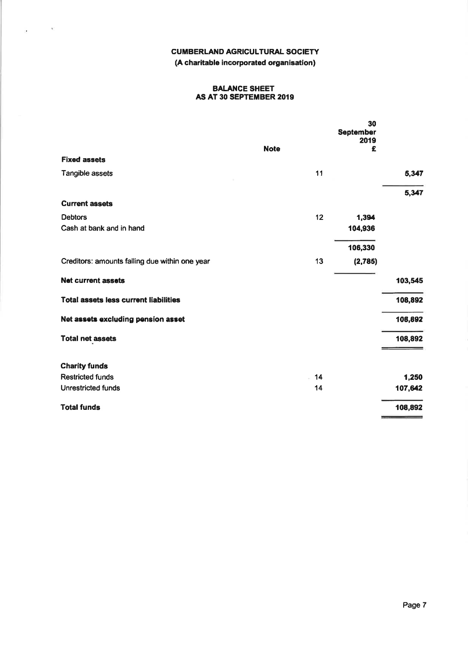$\frac{1}{2\pi}$  ,  $\frac{1}{2\pi}$  ,  $\frac{1}{2\pi}$ 

#### **BALANCE SHEET AS AT 30 SEPTEMBER 2019**

|                                                |             | 30<br>September<br>2019 |         |
|------------------------------------------------|-------------|-------------------------|---------|
|                                                | <b>Note</b> | £                       |         |
| <b>Fixed assets</b>                            |             |                         |         |
| Tangible assets                                | 11          |                         | 5,347   |
|                                                |             |                         | 5,347   |
| <b>Current assets</b>                          |             |                         |         |
| <b>Debtors</b>                                 | 12          | 1,394                   |         |
| Cash at bank and in hand                       |             | 104,936                 |         |
|                                                |             | 106,330                 |         |
| Creditors: amounts falling due within one year | 13          | (2, 785)                |         |
| <b>Net current assets</b>                      |             |                         | 103,545 |
| <b>Total assets less current liabilities</b>   |             |                         | 108,892 |
| Net assets excluding pension asset             |             |                         | 108,892 |
| <b>Total net assets</b>                        |             |                         | 108,892 |
| <b>Charity funds</b>                           |             |                         |         |
| <b>Restricted funds</b>                        | 14          |                         | 1,250   |
| <b>Unrestricted funds</b>                      | 14          |                         | 107,642 |
| <b>Total funds</b>                             |             |                         | 108,892 |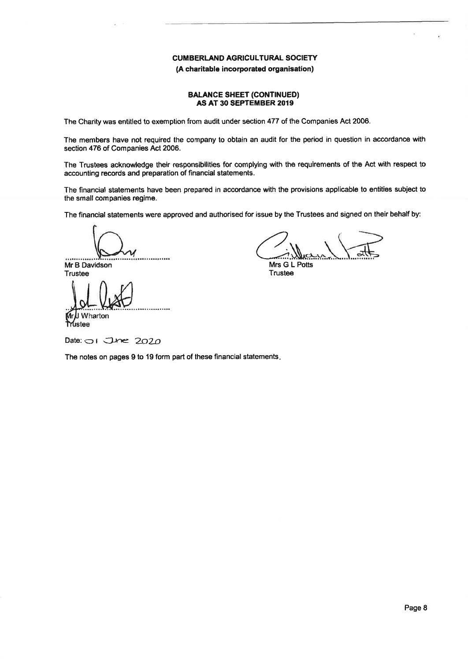#### **(A charitable Incorporated organisation)**

#### **BALANCE SHEET (CONTINUED) AS AT 30 SEPTEMBER 2019**

**The Charity was entitled to exemption from audit under section 477 of the Companies Act 2006.** 

The members have not required the company to obtain an audit for the period in question in accordance with **section 476 of Companies Act 2006.** 

**The Trustees acknowledge their responsibilities for complying with the requirements of the Act with respect to accounting records and preparation of financial statements.** 

**The financial statements have been prepared in accordance with the provisions applicable to entities subject to the small companies regime.** 

The financial statements were approved and authorised for issue by the Trustees and signed on their behalf by:

............

**Mr B Davidson Trustee** 

**I** Wharton **rustee** 

•CVJWV

**Mrs G L Potts Trustee** 

**Date:**  $\bigcirc$  **i**  $\bigcirc$  *Dne* 2020

**The notes on pages 9 to 19 form part of these financial statements.**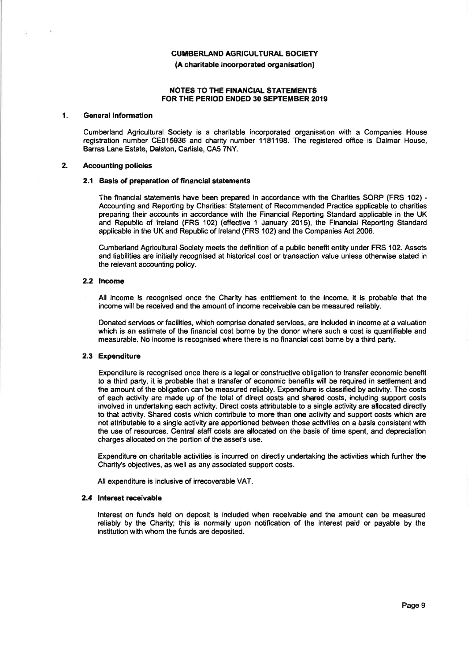#### **(A charitable incorporated organisation)**

#### **NOTES TO THE FINANCIAL STATEMENTS FOR THE PERIOD ENDED 30 SEPTEMBER 2019**

#### **1. General information**

**Cumberland Agricultural Society is a charitable incorporated organisation with a Companies House**  registration number CE015936 and charity number 1181198. The registered office is Dalmar House, **Barras Lane Estate, Dalston, Carlisle, CAS 7NY.** 

#### **2. Accounting policies**

#### **2.1 Basis of preparation of financial statements**

**The financial statements have been prepared in accordance with the Charities SORP (FRS 102) - Accounting and Reporting by Charities; Statement of Recommended Practice applicable to charities preparing their accounts in accordance with the Financial Reporting Standard applicable in the UK and Republic of Ireland (FRS 102) (effective 1 January 2015), the Financial Reporting Standard applicable in the UK and Republic of Ireland (FRS 102) and the Companies Act 2006.** 

**Cumberland Agricultural Society meets the definition of a public benefit entity under FRS 102. Assets and liabilities are Initially recognised at historical cost or transaction value unless otherwise stated in the relevant accounting policy.** 

#### **2.2 Income**

**All income is recognised once the Charity has entitlement to the income. It is probable that the Income will be received and the amount of income receivable can be measured reliably.** 

**Donated services or facilities, which comprise donated services, are included in income at a valuation which is an estimate of the financial cost borne by the donor where such a cost is quantifiable and measurable. No income is recognised where there is no financial cost borne by a third party.** 

#### **2.3 Expenditure**

Expenditure is recognised once there is a legal or constructive obligation to transfer economic benefit **to a third party, it is probable that a transfer of economic benefits will be required in settlement and the amount of the obligation can be measured reliably. Expenditure is classified by activity. The costs of each activity are made up of the total of direct costs and shared costs, including support costs involved in undertaking each activity. Direct costs attributable to a single activity are allocated directly to that activity. Shared costs which contribute to more than one activity and support costs which are not attributable to a single activity are apportioned between those activities on a basis consistent with the use of resources. Central staff costs are allocated on the basis of time spent, and depreciation charges allocated on the portion of the asset's use.** 

**Expenditure on charitable activities is incurred on directly undertaking the activities which further the Charity's objectives, as well as any associated support costs.** 

**All expenditure is inclusive of irrecoverable VAT.** 

#### **2.4 Interest receivable**

**Interest on funds held on deposit is included when receivable and the amount can be measured reliably by the Charity; this is normally upon notification of the interest paid or payable by the institution with whom the funds are deposited.**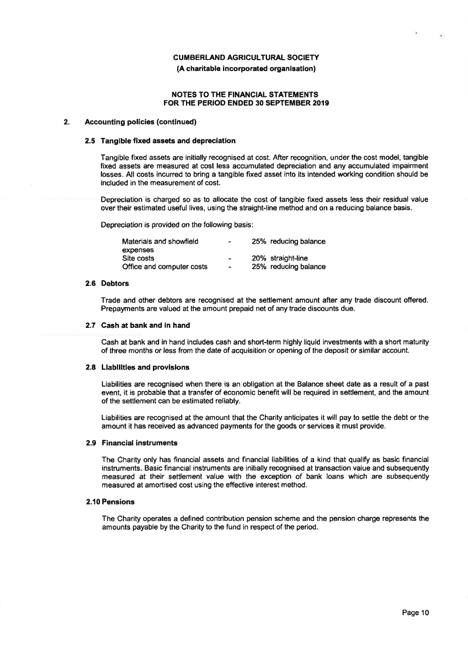#### **(A charitable incorporated organisation)**

#### **NOTES TO THE FINANCIAL STATEMENTS FOR THE PERIOD ENDED 30 SEPTEMBER 2019**

#### **2. Accounting policies (continued)**

#### **2.5 Tangible fixed assets and depreciation**

**Tangible fixed assets are initially recognised at cost. After recognition, under the cost model, tangible fixed assets are measured at cost less accumulated depreciation and any accumulated impairment losses. All costs incurred to bring a tangible fixed asset into its intended working condition should be included in the measurement of cost.** 

**Depreciation is charged so as to allocate the cost of tangible fixed assets less their residual value over their estimated useful lives, using the straight-line method and on a reducing balance basis.** 

**Depreciation is provided on the following basis:** 

| Materials and showfield   | $\overline{\phantom{a}}$ | 25% reducing balance |
|---------------------------|--------------------------|----------------------|
| expenses                  |                          |                      |
| Site costs                | $\overline{\phantom{a}}$ | 20% straight-line    |
| Office and computer costs | $\blacksquare$           | 25% reducing balance |

#### **2.6 Debtors**

**Trade and other debtors are recognised at the settlement amount after any trade discount offered. Prepayments are valued at the amount prepaid net of any trade discounts due.** 

#### **2.7 Cash at bank and in hand**

**Cash at bank and in hand includes cash and short-term highly liquid investments with a short maturity of three months or less from the date of acquisition or opening of the deposit or similar account.** 

#### **2.8 Liabilities and provisions**

**Liabilities are recognised when there is an obligation at the Balance sheet date as a result of a past event, it is probable that a transfer of economic benefit will be required in settlement, and the amount of the settlement can be estimated reliably.** 

**Liabilities are recognised at the amount that the Charity anticipates it will pay to settle the debt or the amount it has received as advanced payments for the goods or services it must provide.** 

#### **2.9 Financial instruments**

**The Charity only has financial assets and financial liabilities of a kind that qualify as basic financial instruments. Basic financial instruments are initially recognised at transaction value and subsequently measured at their settlement value with the exception of bank loans which are subsequently measured at amortised cost using the effective interest method.** 

#### **2.10 Pensions**

**The Charity operates a defined contribution pension scheme and the pension charge represents the amounts payable by the Charity to the fund in respect of the period.**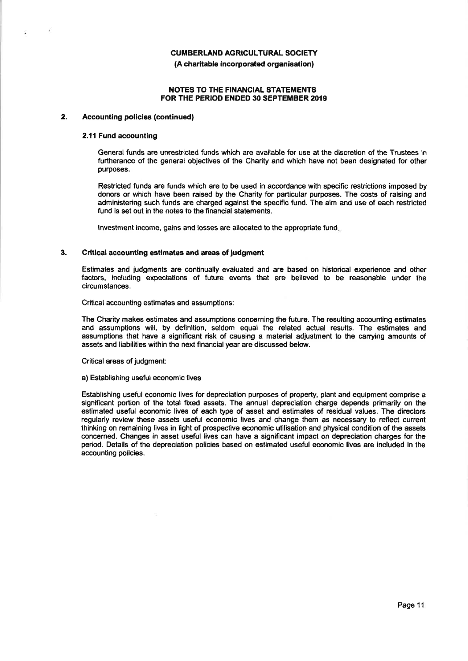#### **(A charitable incorporated organisation)**

#### **NOTES TO THE FINANCIAL STATEMENTS FOR THE PERIOD ENDED 30 SEPTEMBER 2019**

#### **2. Accounting policies (continued)**

#### **2.11 Fund accounting**

**General funds are unrestricted funds which are available for use at the discretion of the Trustees in furtherance of the general objectives of the Charity and which have not been designated for other purposes.** 

**Restricted funds are funds which are to be used in accordance with specific restrictions imposed by donors or which have been raised by the Charity for particular purposes. The costs of raising and administering such funds are charged against the specific fund. The aim and use of each restricted fund is set out in the notes to the financial statements.** 

**Investment income, gains and losses are allocated to the appropriate fund.** 

#### **3. Critical accounting estimates and areas of judgment**

**Estimates and judgments are continually evaluated and are based on historical experience and other factors, including expectations of future events that are believed to be reasonable under the circumstances.** 

**Critical accounting estimates and assumptions:** 

**The Charity makes estimates and assumptions concerning the future. The resulting accounting estimates and assumptions will, by definition, seldom equal the related actual results. The estimates and assumptions that have a significant risk of causing a material adjustment to the carrying amounts of assets and liabilities within the next financial year are discussed below.** 

**Critical areas of judgment:** 

#### **a) Establishing useful economic lives**

**Establishing useful economic lives for depreciation purposes of property, plant and equipment comprise a significant portion of the total fixed assets. The annual depreciation charge depends primarily on the estimated useful economic lives of each type of asset and estimates of residual values. The directors regularly review these assets useful economic lives and change them as necessary to reflect current thinking on remaining lives in light of prospective economic utilisation and physical condition of the assets concerned. Changes in asset useful lives can have a significant impact on depreciation charges for the period. Details of the depreciation policies based on estimated useful economic lives are included in the accounting policies.**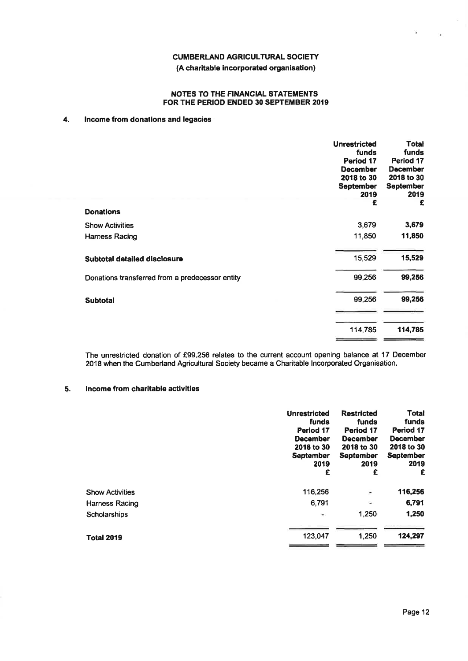#### **(A charitable incorporated organisation)**

#### **NOTES TO THE FINANCIAL STATEMENTS FOR THE PERIOD ENDED 30 SEPTEMBER 2019**

#### **4. Income from donations and legacies**

|                                                 | <b>Unrestricted</b><br>funds<br>Period 17<br><b>December</b><br>2018 to 30<br><b>September</b><br>2019 | <b>Total</b><br>funds<br>Period 17<br><b>December</b><br>2018 to 30<br><b>September</b><br>2019 |
|-------------------------------------------------|--------------------------------------------------------------------------------------------------------|-------------------------------------------------------------------------------------------------|
| <b>Donations</b>                                | £                                                                                                      | £                                                                                               |
| <b>Show Activities</b>                          | 3,679                                                                                                  | 3,679                                                                                           |
| Harness Racing                                  | 11,850                                                                                                 | 11,850                                                                                          |
| Subtotal detailed disclosure                    | 15,529                                                                                                 | 15,529                                                                                          |
| Donations transferred from a predecessor entity | 99,256                                                                                                 | 99,256                                                                                          |
| <b>Subtotal</b>                                 | 99,256                                                                                                 | 99,256                                                                                          |
|                                                 | 114,785                                                                                                | 114,785                                                                                         |

**The unrestricted donation of £99,256 relates to the current account opening balance at 17 December 2018 when the Cumberland Agricultural Society became a Charitable Incorporated Organisation.** 

#### **5. I ncome from charitable activities**

|                        | <b>Unrestricted</b><br>funds<br>Period 17<br><b>December</b><br>2018 to 30<br><b>September</b><br>2019<br>£ | <b>Restricted</b><br>funds<br>Period 17<br><b>December</b><br>2018 to 30<br><b>September</b><br>2019<br>£ | <b>Total</b><br>funds<br>Period 17<br><b>December</b><br>2018 to 30<br><b>September</b><br>2019<br>£ |
|------------------------|-------------------------------------------------------------------------------------------------------------|-----------------------------------------------------------------------------------------------------------|------------------------------------------------------------------------------------------------------|
| <b>Show Activities</b> | 116,256                                                                                                     | ÷                                                                                                         | 116,256                                                                                              |
| Harness Racing         | 6.791                                                                                                       | Ŵ                                                                                                         | 6,791                                                                                                |
| Scholarships           | $\blacksquare$                                                                                              | 1,250                                                                                                     | 1,250                                                                                                |
| <b>Total 2019</b>      | 123,047                                                                                                     | 1,250                                                                                                     | 124,297                                                                                              |

in,

 $\overline{\mathbf{a}}$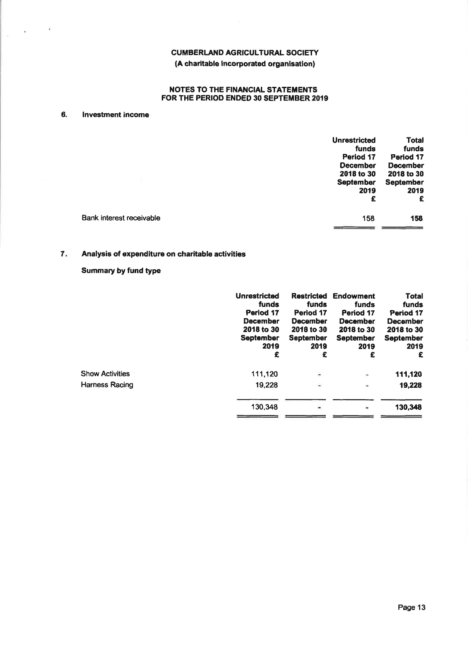# **(A charitable incorporated organisation)**

#### **NOTES TO THE FINANCIAL STATEMENTS FOR THE PERIOD ENDED 30 SEPTEMBER 2019**

#### **6. Investment income**

 $\begin{vmatrix} 0 & \mathbf{0} & \mathbf{0} & \mathbf{0} & \mathbf{0} & \mathbf{0} & \mathbf{0} & \mathbf{0} & \mathbf{0} & \mathbf{0} & \mathbf{0} & \mathbf{0} & \mathbf{0} & \mathbf{0} & \mathbf{0} & \mathbf{0} & \mathbf{0} & \mathbf{0} & \mathbf{0} & \mathbf{0} & \mathbf{0} & \mathbf{0} & \mathbf{0} & \mathbf{0} & \mathbf{0} & \mathbf{0} & \mathbf{0} & \mathbf{0} & \mathbf{0} & \mathbf{0} & \mathbf{0} & \$ 

|                          | <b>Unrestricted</b> | <b>Total</b>     |
|--------------------------|---------------------|------------------|
|                          | funds               | funds            |
|                          | Period 17           | Period 17        |
|                          | <b>December</b>     | <b>December</b>  |
|                          | 2018 to 30          | 2018 to 30       |
|                          | <b>September</b>    | <b>September</b> |
|                          | 2019                | 2019             |
|                          | £                   | £                |
| Bank interest receivable | 158                 | 158              |
|                          |                     |                  |

# **7. Analysis of expenditure on charitable activities**

# **Summary by fund type**

|                        | <b>Unrestricted</b><br>funds<br>Period 17<br><b>December</b><br>2018 to 30<br><b>September</b><br>2019<br>£ | <b>Restricted</b><br>funds<br>Period 17<br>December<br>2018 to 30<br><b>September</b><br>2019<br>£ | <b>Endowment</b><br>funds<br>Period 17<br><b>December</b><br>2018 to 30<br><b>September</b><br>2019<br>£ | <b>Total</b><br>funds<br>Period 17<br><b>December</b><br>2018 to 30<br><b>September</b><br>2019<br>£ |
|------------------------|-------------------------------------------------------------------------------------------------------------|----------------------------------------------------------------------------------------------------|----------------------------------------------------------------------------------------------------------|------------------------------------------------------------------------------------------------------|
| <b>Show Activities</b> | 111,120                                                                                                     | $\overline{\phantom{a}}$                                                                           | $\overline{\phantom{a}}$                                                                                 | 111,120                                                                                              |
| Harness Racing         | 19,228                                                                                                      | $\rightarrow$                                                                                      | s.                                                                                                       | 19,228                                                                                               |
|                        | 130,348                                                                                                     |                                                                                                    | ۰                                                                                                        | 130,348                                                                                              |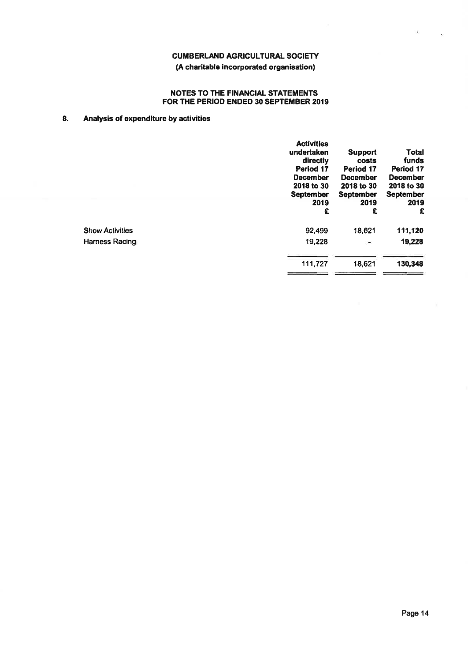# **(A charitable incorporated organisation)**

#### **NOTES TO THE FINANCIAL STATEMENTS FOR THE PERIOD ENDED 30 SEPTEMBER 2019**

# **8. Analysis of expenditure by activities**

|                        | <b>Activities</b><br>undertaken<br>directly<br>Period 17<br><b>December</b><br>2018 to 30<br><b>September</b><br>2019<br>£ | <b>Support</b><br>costs<br>Period 17<br><b>December</b><br>2018 to 30<br><b>September</b><br>2019<br>£ | Total<br>funds<br>Period 17<br><b>December</b><br>2018 to 30<br><b>September</b><br>2019<br>£ |
|------------------------|----------------------------------------------------------------------------------------------------------------------------|--------------------------------------------------------------------------------------------------------|-----------------------------------------------------------------------------------------------|
| <b>Show Activities</b> | 92.499                                                                                                                     | 18.621                                                                                                 | 111,120                                                                                       |
| Harness Racing         | 19,228                                                                                                                     | ۰                                                                                                      | 19,228                                                                                        |
|                        | 111,727                                                                                                                    | 18,621                                                                                                 | 130,348                                                                                       |

 $\mathbf{r}$ 

 $\cdot$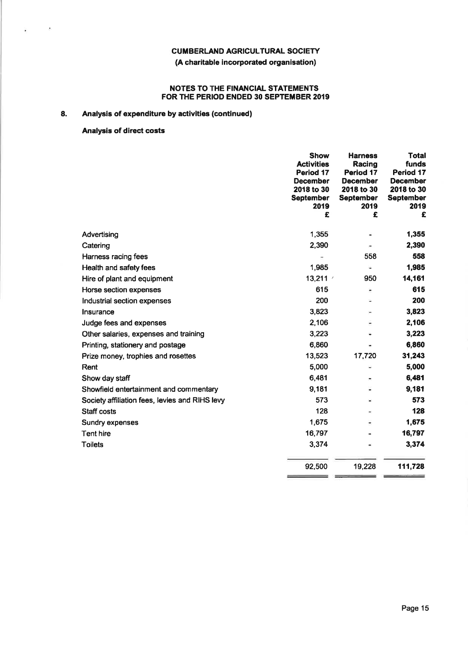#### **NOTES TO THE FINANCIAL STATEMENTS FOR THE PERIOD ENDED 30 SEPTEMBER 2019**

# **8. Analysis of expenditure by activities (continued)**

# **Analysis of direct costs**

Ý.  $\sim$   $\sim$ 

|                                                | <b>Show</b><br><b>Activities</b><br>Period 17<br><b>December</b><br>2018 to 30<br><b>September</b><br>2019<br>£ | <b>Harness</b><br>Racing<br>Period 17<br><b>December</b><br>2018 to 30<br><b>September</b><br>2019<br>£ | <b>Total</b><br>funds<br>Period 17<br><b>December</b><br>2018 to 30<br><b>September</b><br>2019<br>£ |
|------------------------------------------------|-----------------------------------------------------------------------------------------------------------------|---------------------------------------------------------------------------------------------------------|------------------------------------------------------------------------------------------------------|
| Advertising                                    | 1,355                                                                                                           |                                                                                                         | 1,355                                                                                                |
| Catering                                       | 2,390                                                                                                           |                                                                                                         | 2,390                                                                                                |
| Harness racing fees                            |                                                                                                                 | 558                                                                                                     | 558                                                                                                  |
| Health and safety fees                         | 1,985                                                                                                           | ¥.                                                                                                      | 1,985                                                                                                |
| Hire of plant and equipment                    | 13,211 $\vee$                                                                                                   | 950                                                                                                     | 14,161                                                                                               |
| Horse section expenses                         | 615                                                                                                             | ۰                                                                                                       | 615                                                                                                  |
| Industrial section expenses                    | 200                                                                                                             |                                                                                                         | 200                                                                                                  |
| Insurance                                      | 3,823                                                                                                           |                                                                                                         | 3,823                                                                                                |
| Judge fees and expenses                        | 2,106                                                                                                           |                                                                                                         | 2,106                                                                                                |
| Other salaries, expenses and training          | 3,223                                                                                                           |                                                                                                         | 3,223                                                                                                |
| Printing, stationery and postage               | 6,860                                                                                                           |                                                                                                         | 6,860                                                                                                |
| Prize money, trophies and rosettes             | 13,523                                                                                                          | 17,720                                                                                                  | 31,243                                                                                               |
| Rent                                           | 5,000                                                                                                           |                                                                                                         | 5,000                                                                                                |
| Show day staff                                 | 6,481                                                                                                           |                                                                                                         | 6,481                                                                                                |
| Showfield entertainment and commentary         | 9,181                                                                                                           |                                                                                                         | 9,181                                                                                                |
| Society affiliation fees, levies and RIHS levy | 573                                                                                                             |                                                                                                         | 573                                                                                                  |
| <b>Staff costs</b>                             | 128                                                                                                             |                                                                                                         | 128                                                                                                  |
| Sundry expenses                                | 1,675                                                                                                           |                                                                                                         | 1,675                                                                                                |
| Tent hire                                      | 16,797                                                                                                          |                                                                                                         | 16,797                                                                                               |
| <b>Toilets</b>                                 | 3,374                                                                                                           |                                                                                                         | 3,374                                                                                                |
|                                                | 92,500                                                                                                          | 19,228                                                                                                  | 111,728                                                                                              |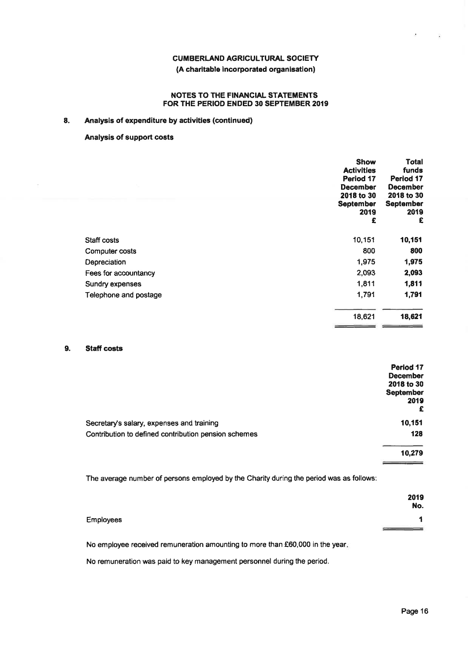#### **NOTES TO THE FINANCIAL STATEMENTS FOR THE PERIOD ENDED 30 SEPTEMBER 2019**

#### **8. Analysis of expenditure by activities (continued)**

#### **Analysis of support costs**

|                       | <b>Show</b><br><b>Activities</b><br>Period 17<br><b>December</b><br>2018 to 30<br><b>September</b><br>2019<br>£ | Total<br>funds<br>Period 17<br><b>December</b><br>2018 to 30<br><b>September</b><br>2019<br>£ |
|-----------------------|-----------------------------------------------------------------------------------------------------------------|-----------------------------------------------------------------------------------------------|
| Staff costs           | 10,151                                                                                                          | 10,151                                                                                        |
| Computer costs        | 800                                                                                                             | 800                                                                                           |
| Depreciation          | 1,975                                                                                                           | 1,975                                                                                         |
| Fees for accountancy  | 2,093                                                                                                           | 2,093                                                                                         |
| Sundry expenses       | 1,811                                                                                                           | 1,811                                                                                         |
| Telephone and postage | 1,791                                                                                                           | 1,791                                                                                         |
|                       | 18,621                                                                                                          | 18,621                                                                                        |

#### **9. Staff costs**

|                                                      | Period 17        |
|------------------------------------------------------|------------------|
|                                                      | <b>December</b>  |
|                                                      | 2018 to 30       |
|                                                      | <b>September</b> |
|                                                      | 2019             |
|                                                      | £                |
| Secretary's salary, expenses and training            | 10,151           |
| Contribution to defined contribution pension schemes | 128              |
|                                                      | 10,279           |
|                                                      |                  |

**The average number of persons employed by the Charity during the period was as follows:** 

|           | 2019<br>No. |
|-----------|-------------|
| Employees |             |
|           |             |

**No employee received remuneration amounting to more than £60,000 in the year.** 

**No remuneration was paid to key management personnel during the period.**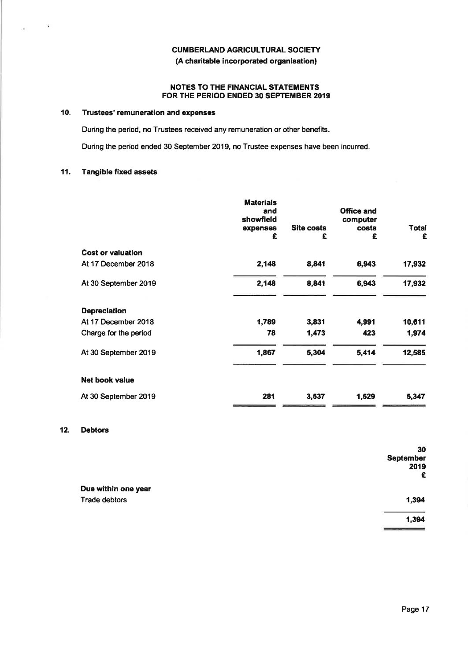#### **NOTES TO THE FINANCIAL STATEMENTS FOR THE PERIOD ENDED 30 SEPTEMBER 2019**

#### **10. Trustees' remuneration and expenses**

**During the period, no Trustees received any remuneration or other benefits.** 

**During the period ended 30 September 2019, no Trustee expenses have been incurred.** 

#### **11. Tangible fixed assets**

 $\sim$ 

×.

|                          | <b>Materials</b><br>and<br>showfield<br>expenses<br>£ | <b>Site costs</b><br>£ | <b>Office and</b><br>computer<br>costs<br>£ | <b>Total</b><br>£ |
|--------------------------|-------------------------------------------------------|------------------------|---------------------------------------------|-------------------|
| <b>Cost or valuation</b> |                                                       |                        |                                             |                   |
| At 17 December 2018      | 2,148                                                 | 8,841                  | 6,943                                       | 17,932            |
| At 30 September 2019     | 2,148                                                 | 8,841                  | 6,943                                       | 17,932            |
| <b>Depreciation</b>      |                                                       |                        |                                             |                   |
| At 17 December 2018      | 1,789                                                 | 3,831                  | 4,991                                       | 10,611            |
| Charge for the period    | 78                                                    | 1,473                  | 423                                         | 1,974             |
| At 30 September 2019     | 1,867                                                 | 5,304                  | 5,414                                       | 12,585            |
| Net book value           |                                                       |                        |                                             |                   |
| At 30 September 2019     | 281                                                   | 3,537                  | 1,529                                       | 5,347             |

# **12. Debtors**

|                      | 30<br><b>September</b> |
|----------------------|------------------------|
|                      | 2019<br>£              |
| Due within one year  |                        |
| <b>Trade debtors</b> | 1,394                  |
|                      | 1,394                  |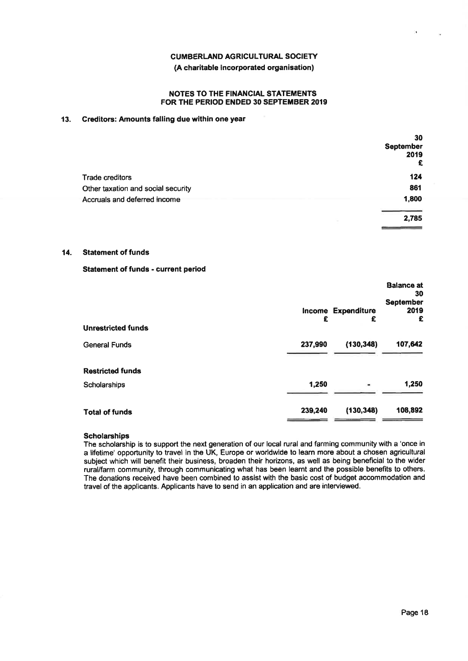#### **(A charitable incorporated organisation)**

#### **NOTES TO THE FINANCIAL STATEMENTS FOR THE PERIOD ENDED 30 SEPTEMBER 2019**

#### **13. Creditors: Amounts falling due within one year**

| 30<br>September<br>2019<br>£ |
|------------------------------|
|                              |
| 124                          |
| 861                          |
| 1,800                        |
| 2,785                        |
|                              |

#### **14. Statement of funds**

#### **Statement of funds - current period**

| <b>Unrestricted funds</b> | £       | Income Expenditure<br>£ | <b>Balance at</b><br>30<br><b>September</b><br>2019<br>£ |
|---------------------------|---------|-------------------------|----------------------------------------------------------|
| <b>General Funds</b>      | 237,990 | (130, 348)              | 107,642                                                  |
| <b>Restricted funds</b>   |         |                         |                                                          |
| Scholarships              | 1,250   | $\bullet\bullet$        | 1,250                                                    |
| <b>Total of funds</b>     | 239,240 | (130, 348)              | 108,892                                                  |

#### **Scholarships**

**The scholarship is to support the next generation of our local rural and farming community with a 'once in a lifetime' opportunity to travel in the UK, Europe or worldwide to learn more about a chosen agricultural subject which will benefit their business, broaden their horizons, as well as being beneficial to the wider rural/farm community, through communicating what has been learnt and the possible benefits to others. The donations received have been combined to assist with the basic cost of budget accommodation and travel of the applicants. Applicants have to send in an application and are interviewed.**